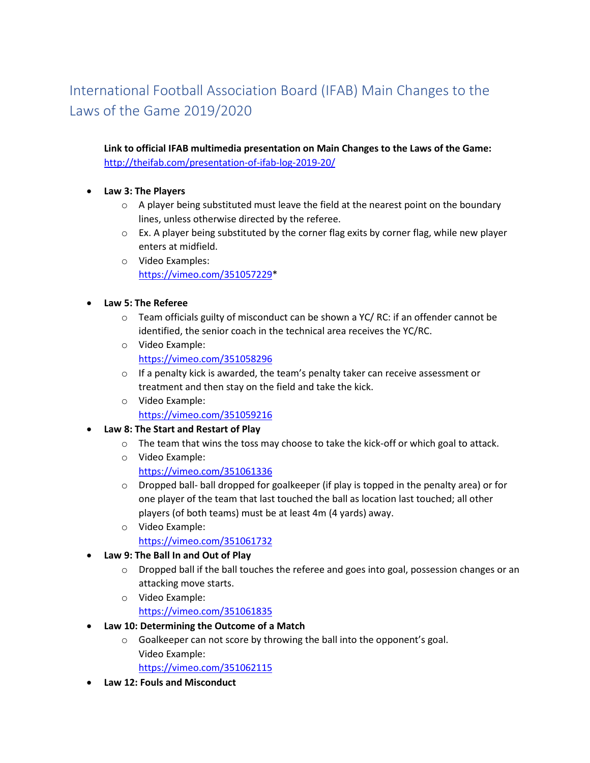International Football Association Board (IFAB) Main Changes to the Laws of the Game 2019/2020

**Link to official IFAB multimedia presentation on Main Changes to the Laws of the Game:** <http://theifab.com/presentation-of-ifab-log-2019-20/>

### • **Law 3: The Players**

- $\circ$  A player being substituted must leave the field at the nearest point on the boundary lines, unless otherwise directed by the referee.
- o Ex. A player being substituted by the corner flag exits by corner flag, while new player enters at midfield.
- o Video Examples: [https://vimeo.com/351057229\\*](https://vimeo.com/351057229)

### • **Law 5: The Referee**

- o Team officials guilty of misconduct can be shown a YC/ RC: if an offender cannot be identified, the senior coach in the technical area receives the YC/RC.
- o Video Example: <https://vimeo.com/351058296>
- $\circ$  If a penalty kick is awarded, the team's penalty taker can receive assessment or treatment and then stay on the field and take the kick.
- o Video Example: <https://vimeo.com/351059216>

### • **Law 8: The Start and Restart of Play**

- $\circ$  The team that wins the toss may choose to take the kick-off or which goal to attack.
- o Video Example: <https://vimeo.com/351061336>
- o Dropped ball- ball dropped for goalkeeper (if play is topped in the penalty area) or for one player of the team that last touched the ball as location last touched; all other players (of both teams) must be at least 4m (4 yards) away.
- o Video Example: <https://vimeo.com/351061732>

# • **Law 9: The Ball In and Out of Play**

- o Dropped ball if the ball touches the referee and goes into goal, possession changes or an attacking move starts.
- o Video Example:
	- <https://vimeo.com/351061835>
- **Law 10: Determining the Outcome of a Match**
	- o Goalkeeper can not score by throwing the ball into the opponent's goal. Video Example:

<https://vimeo.com/351062115>

• **Law 12: Fouls and Misconduct**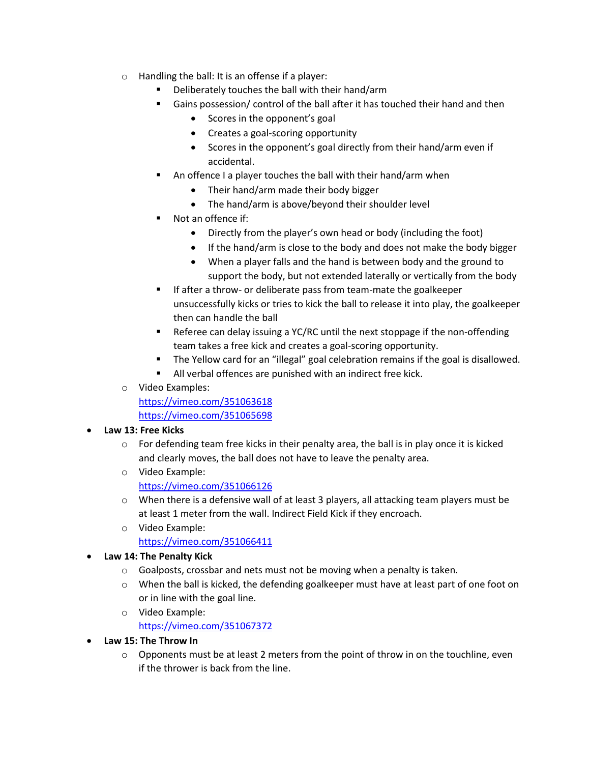- o Handling the ball: It is an offense if a player:
	- Deliberately touches the ball with their hand/arm
	- Gains possession/ control of the ball after it has touched their hand and then
		- Scores in the opponent's goal
		- Creates a goal-scoring opportunity
		- Scores in the opponent's goal directly from their hand/arm even if accidental.
	- An offence I a player touches the ball with their hand/arm when
		- Their hand/arm made their body bigger
		- The hand/arm is above/beyond their shoulder level
		- Not an offence if:
			- Directly from the player's own head or body (including the foot)
			- If the hand/arm is close to the body and does not make the body bigger
			- When a player falls and the hand is between body and the ground to support the body, but not extended laterally or vertically from the body
	- **If after a throw- or deliberate pass from team-mate the goalkeeper** unsuccessfully kicks or tries to kick the ball to release it into play, the goalkeeper then can handle the ball
	- Referee can delay issuing a YC/RC until the next stoppage if the non-offending team takes a free kick and creates a goal-scoring opportunity.
	- The Yellow card for an "illegal" goal celebration remains if the goal is disallowed.
	- All verbal offences are punished with an indirect free kick.
- o Video Examples:

<https://vimeo.com/351063618> <https://vimeo.com/351065698>

# • **Law 13: Free Kicks**

- $\circ$  For defending team free kicks in their penalty area, the ball is in play once it is kicked and clearly moves, the ball does not have to leave the penalty area.
- o Video Example: <https://vimeo.com/351066126>
- $\circ$  When there is a defensive wall of at least 3 players, all attacking team players must be at least 1 meter from the wall. Indirect Field Kick if they encroach.
- o Video Example: <https://vimeo.com/351066411>

# • **Law 14: The Penalty Kick**

- o Goalposts, crossbar and nets must not be moving when a penalty is taken.
- $\circ$  When the ball is kicked, the defending goalkeeper must have at least part of one foot on or in line with the goal line.
- o Video Example: <https://vimeo.com/351067372>
- **Law 15: The Throw In**
	- $\circ$  Opponents must be at least 2 meters from the point of throw in on the touchline, even if the thrower is back from the line.